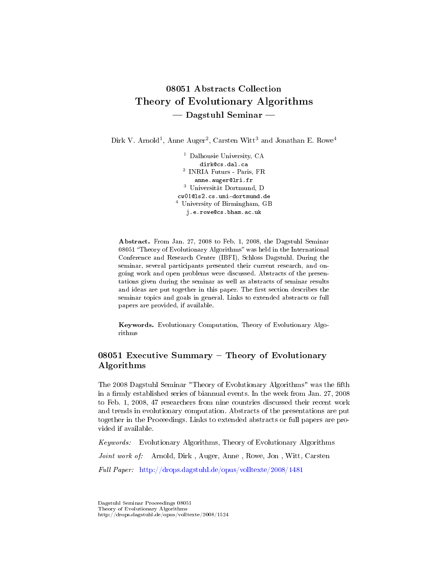# 08051 Abstracts Collection Theory of Evolutionary Algorithms  $-$  Dagstuhl Seminar  $-$

Dirk V. Arnold<sup>1</sup>, Anne Auger<sup>2</sup>, Carsten Witt<sup>3</sup> and Jonathan E. Rowe<sup>4</sup>

<sup>1</sup> Dalhousie University, CA dirk@cs.dal.ca 2 INRIA Futurs - Paris, FR anne.auger@lri.fr <sup>3</sup> Universität Dortmund, D cw01@ls2.cs.uni-dortmund.de <sup>4</sup> University of Birmingham, GB j.e.rowe@cs.bham.ac.uk

Abstract. From Jan. 27, 2008 to Feb. 1, 2008, the Dagstuhl Seminar 08051 "Theory of Evolutionary Algorithms" was held in the International Conference and Research Center (IBFI), Schloss Dagstuhl. During the seminar, several participants presented their current research, and ongoing work and open problems were discussed. Abstracts of the presentations given during the seminar as well as abstracts of seminar results and ideas are put together in this paper. The first section describes the seminar topics and goals in general. Links to extended abstracts or full papers are provided, if available.

Keywords. Evolutionary Computation, Theory of Evolutionary Algorithms

## $08051$  Executive Summary – Theory of Evolutionary Algorithms

The 2008 Dagstuhl Seminar "Theory of Evolutionary Algorithms" was the fifth in a firmly established series of biannual events. In the week from Jan. 27, 2008 to Feb. 1, 2008, 47 researchers from nine countries discussed their recent work and trends in evolutionary computation. Abstracts of the presentations are put together in the Proceedings. Links to extended abstracts or full papers are provided if available.

Keywords: Evolutionary Algorithms, Theory of Evolutionary Algorithms Joint work of: Arnold, Dirk, Auger, Anne, Rowe, Jon, Witt, Carsten Full Paper: <http://drops.dagstuhl.de/opus/volltexte/2008/1481>

Dagstuhl Seminar Proceedings 08051 Theory of Evolutionary Algorithms http://drops.dagstuhl.de/opus/volltexte/2008/1524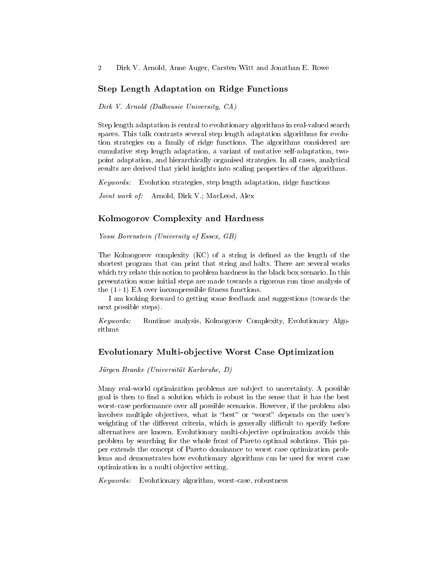### Step Length Adaptation on Ridge Functions

Dirk V. Arnold (Dalhousie University, CA)

Step length adaptation is central to evolutionary algorithms in real-valued search spaces. This talk contrasts several step length adaptation algorithms for evolution strategies on a family of ridge functions. The algorithms considered are cumulative step length adaptation, a variant of mutative self-adaptation, twopoint adaptation, and hierarchically organised strategies. In all cases, analytical results are derived that yield insights into scaling properties of the algorithms.

Keywords: Evolution strategies, step length adaptation, ridge functions

Joint work of: Arnold, Dirk V.; MacLeod, Alex

#### Kolmogorov Complexity and Hardness

Yossi Borenstein (University of Essex, GB)

The Kolmogorov complexity  $(KC)$  of a string is defined as the length of the shortest program that can print that string and halts. There are several works which try relate this notion to problem hardness in the black box scenario. In this presentation some initial steps are made towards a rigorous run time analysis of the  $(1+1)$  EA over incompressible fitness functions.

I am looking forward to getting some feedback and suggestions (towards the next possible steps).

Keywords: Runtime analysis, Kolmogorov Complexity, Evolutionary Algorithms

## Evolutionary Multi-objective Worst Case Optimization

Jürgen Branke (Universität Karlsruhe, D)

Many real-world optimization problems are subject to uncertainty. A possible goal is then to find a solution which is robust in the sense that it has the best worst-case performance over all possible scenarios. However, if the problem also involves multiple objectives, what is "best" or "worst" depends on the user's weighting of the different criteria, which is generally difficult to specify before alternatives are known. Evolutionary multi-objective optimization avoids this problem by searching for the whole front of Pareto optimal solutions. This paper extends the concept of Pareto dominance to worst case optimization problems and demonstrates how evolutionary algorithms can be used for worst case optimization in a multi objective setting.

Keywords: Evolutionary algorithm, worst-case, robustness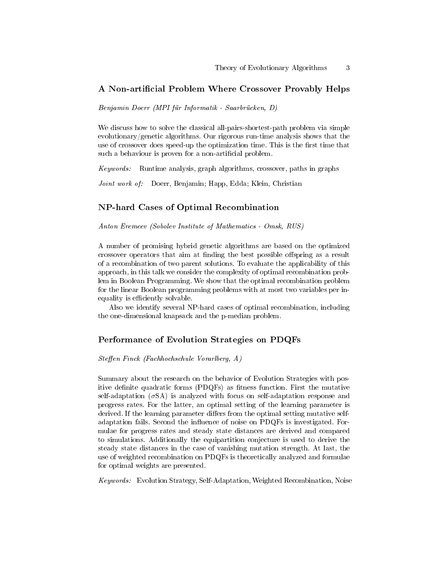### A Non-artificial Problem Where Crossover Provably Helps

Benjamin Doerr (MPI für Informatik - Saarbrücken, D)

We discuss how to solve the classical all-pairs-shortest-path problem via simple evolutionary/genetic algorithms. Our rigorous run-time analysis shows that the use of crossover does speed-up the optimization time. This is the first time that such a behaviour is proven for a non-artificial problem.

Keywords: Runtime analysis, graph algorithms, crossover, paths in graphs

Joint work of: Doerr, Benjamin; Happ, Edda; Klein, Christian

#### NP-hard Cases of Optimal Recombination

Anton Eremeev (Sobolev Institute of Mathematics - Omsk, RUS)

A number of promising hybrid genetic algorithms are based on the optimized crossover operators that aim at finding the best possible offspring as a result of a recombination of two parent solutions. To evaluate the applicability of this approach, in this talk we consider the complexity of optimal recombination problem in Boolean Programming. We show that the optimal recombination problem for the linear Boolean programming problems with at most two variables per inequality is efficiently solvable.

Also we identify several NP-hard cases of optimal recombination, including the one-dimensional knapsack and the p-median problem.

### Performance of Evolution Strategies on PDQFs

Steffen Finck (Fachhochschule Vorarlberg, A)

Summary about the research on the behavior of Evolution Strategies with positive definite quadratic forms (PDQFs) as fitness function. First the mutative self-adaptation  $(\sigma SA)$  is analyzed with focus on self-adaptation response and progress rates. For the latter, an optimal setting of the learning parameter is derived. If the learning parameter differs from the optimal setting mutative selfadaptation fails. Second the inuence of noise on PDQFs is investigated. Formulae for progress rates and steady state distances are derived and compared to simulations. Additionally the equipartition conjecture is used to derive the steady state distances in the case of vanishing mutation strength. At last, the use of weighted recombination on PDQFs is theoretically analyzed and formulae for optimal weights are presented.

Keywords: Evolution Strategy, Self-Adaptation, Weighted Recombination, Noise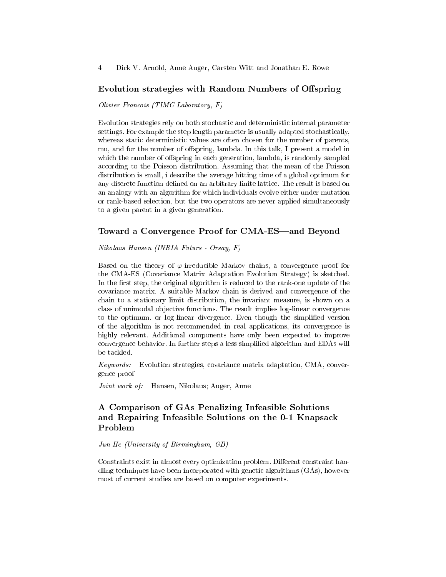### Evolution strategies with Random Numbers of Offspring

Olivier Francois (TIMC Laboratory, F)

Evolution strategies rely on both stochastic and deterministic internal parameter settings. For example the step length parameter is usually adapted stochastically, whereas static deterministic values are often chosen for the number of parents, mu, and for the number of offspring, lambda. In this talk, I present a model in which the number of offspring in each generation, lambda, is randomly sampled according to the Poisson distribution. Assuming that the mean of the Poisson distribution is small, i describe the average hitting time of a global optimum for any discrete function defined on an arbitrary finite lattice. The result is based on an analogy with an algorithm for which individuals evolve either under mutation or rank-based selection, but the two operators are never applied simultaneously to a given parent in a given generation.

#### Toward a Convergence Proof for CMA-ES—and Beyond

Nikolaus Hansen (INRIA Futurs - Orsay, F)

Based on the theory of  $\varphi$ -irreducible Markov chains, a convergence proof for the CMA-ES (Covariance Matrix Adaptation Evolution Strategy) is sketched. In the first step, the original algorithm is reduced to the rank-one update of the covariance matrix. A suitable Markov chain is derived and convergence of the chain to a stationary limit distribution, the invariant measure, is shown on a class of unimodal objective functions. The result implies log-linear convergence to the optimum, or log-linear divergence. Even though the simplied version of the algorithm is not recommended in real applications, its convergence is highly relevant. Additional components have only been expected to improve convergence behavior. In further steps a less simplied algorithm and EDAs will be tackled.

Keywords: Evolution strategies, covariance matrix adaptation, CMA, convergence proof

Joint work of: Hansen, Nikolaus; Auger, Anne

## A Comparison of GAs Penalizing Infeasible Solutions and Repairing Infeasible Solutions on the 0-1 Knapsack Problem

Jun He (University of Birmingham, GB)

Constraints exist in almost every optimization problem. Different constraint handling techniques have been incorporated with genetic algorithms (GAs), however most of current studies are based on computer experiments.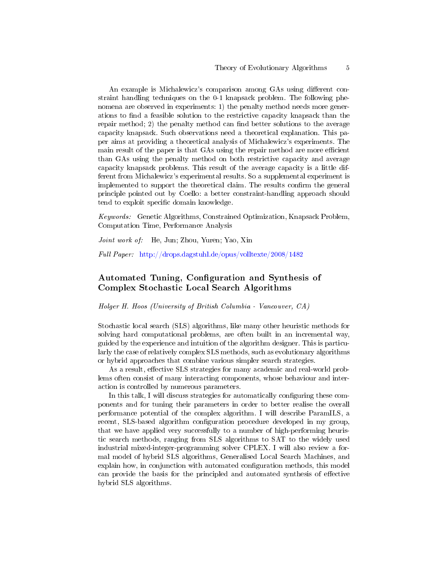An example is Michalewicz's comparison among GAs using different constraint handling techniques on the 0-1 knapsack problem. The following phenomena are observed in experiments: 1) the penalty method needs more generations to nd a feasible solution to the restrictive capacity knapsack than the repair method; 2) the penalty method can find better solutions to the average capacity knapsack. Such observations need a theoretical explanation. This paper aims at providing a theoretical analysis of Michalewicz's experiments. The main result of the paper is that GAs using the repair method are more efficient than GAs using the penalty method on both restrictive capacity and average capacity knapsack problems. This result of the average capacity is a little different from Michalewicz's experimental results. So a supplemental experiment is implemented to support the theoretical claim. The results confirm the general principle pointed out by Coello: a better constraint-handling approach should tend to exploit specific domain knowledge.

Keywords: Genetic Algorithms, Constrained Optimization, Knapsack Problem, Computation Time, Performance Analysis

Joint work of: He, Jun; Zhou, Yuren; Yao, Xin

Full Paper: <http://drops.dagstuhl.de/opus/volltexte/2008/1482>

## Automated Tuning, Configuration and Synthesis of Complex Stochastic Local Search Algorithms

Holger H. Hoos (University of British Columbia - Vancouver, CA)

Stochastic local search (SLS) algorithms, like many other heuristic methods for solving hard computational problems, are often built in an incremental way, guided by the experience and intuition of the algorithm designer. This is particularly the case of relatively complex SLS methods, such as evolutionary algorithms or hybrid approaches that combine various simpler search strategies.

As a result, effective SLS strategies for many academic and real-world problems often consist of many interacting components, whose behaviour and interaction is controlled by numerous parameters.

In this talk, I will discuss strategies for automatically configuring these components and for tuning their parameters in order to better realise the overall performance potential of the complex algorithm. I will describe ParamILS, a recent, SLS-based algorithm configuration procedure developed in my group, that we have applied very successfully to a number of high-performing heuristic search methods, ranging from SLS algorithms to SAT to the widely used industrial mixed-integer-programming solver CPLEX. I will also review a formal model of hybrid SLS algorithms, Generalised Local Search Machines, and explain how, in conjunction with automated configuration methods, this model can provide the basis for the principled and automated synthesis of effective hybrid SLS algorithms.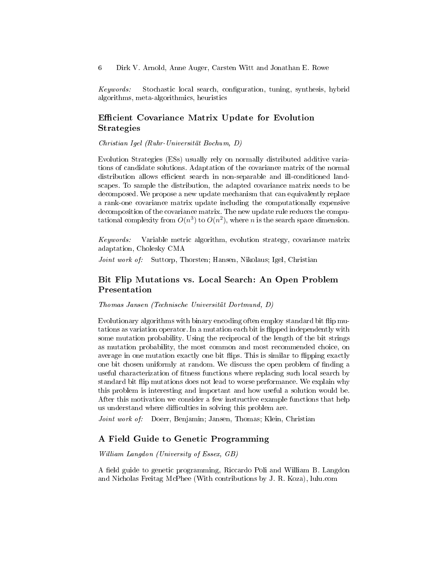Keywords: Stochastic local search, configuration, tuning, synthesis, hybrid algorithms, meta-algorithmics, heuristics

### Efficient Covariance Matrix Update for Evolution Strategies

Christian Igel (Ruhr-Universität Bochum, D)

Evolution Strategies (ESs) usually rely on normally distributed additive variations of candidate solutions. Adaptation of the covariance matrix of the normal distribution allows efficient search in non-separable and ill-conditioned landscapes. To sample the distribution, the adapted covariance matrix needs to be decomposed. We propose a new update mechanism that can equivalently replace a rank-one covariance matrix update including the computationally expensive decomposition of the covariance matrix. The new update rule reduces the computational complexity from  $O(n^3)$  to  $O(n^2)$ , where n is the search space dimension.

Keywords: Variable metric algorithm, evolution strategy, covariance matrix adaptation, Cholesky CMA

Joint work of: Suttorp, Thorsten; Hansen, Nikolaus; Igel, Christian

### Bit Flip Mutations vs. Local Search: An Open Problem Presentation

Thomas Jansen (Technische Universität Dortmund, D)

Evolutionary algorithms with binary encoding often employ standard bit flip mutations as variation operator. In a mutation each bit is flipped independently with some mutation probability. Using the reciprocal of the length of the bit strings as mutation probability, the most common and most recommended choice, on average in one mutation exactly one bit flips. This is similar to flipping exactly one bit chosen uniformly at random. We discuss the open problem of finding a useful characterization of fitness functions where replacing such local search by standard bit flip mutations does not lead to worse performance. We explain why this problem is interesting and important and how useful a solution would be. After this motivation we consider a few instructive example functions that help us understand where difficulties in solving this problem are.

Joint work of: Doerr, Benjamin; Jansen, Thomas; Klein, Christian

### A Field Guide to Genetic Programming

William Langdon (University of Essex, GB)

A field guide to genetic programming, Riccardo Poli and William B. Langdon and Nicholas Freitag McPhee (With contributions by J. R. Koza), lulu.com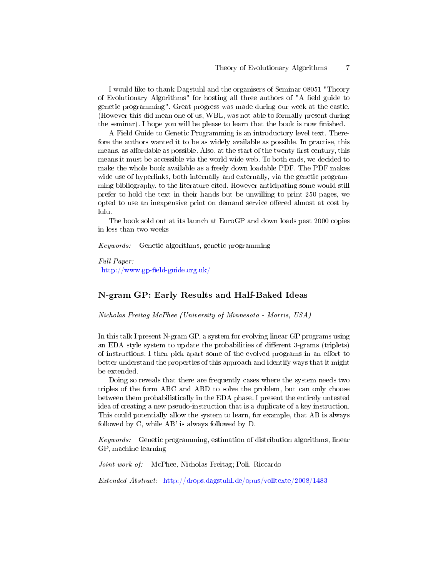I would like to thank Dagstuhl and the organisers of Seminar 08051 "Theory of Evolutionary Algorithms" for hosting all three authors of "A field guide to genetic programming". Great progress was made during our week at the castle. (However this did mean one of us, WBL, was not able to formally present during the seminar). I hope you will be please to learn that the book is now finished.

A Field Guide to Genetic Programming is an introductory level text. Therefore the authors wanted it to be as widely available as possible. In practise, this means, as affordable as possible. Also, at the start of the twenty first century, this means it must be accessible via the world wide web. To both ends, we decided to make the whole book available as a freely down loadable PDF. The PDF makes wide use of hyperlinks, both internally and externally, via the genetic programming bibliography, to the literature cited. However anticipating some would still prefer to hold the text in their hands but be unwilling to print 250 pages, we opted to use an inexpensive print on demand service offered almost at cost by lulu.

The book sold out at its launch at EuroGP and down loads past 2000 copies in less than two weeks

Keywords: Genetic algorithms, genetic programming

Full Paper:  $http://www.gp-field-guide.org.uk/$ 

### N-gram GP: Early Results and Half-Baked Ideas

Nicholas Freitag McPhee (University of Minnesota - Morris, USA)

In this talk I present N-gram GP, a system for evolving linear GP programs using an EDA style system to update the probabilities of different 3-grams (triplets) of instructions. I then pick apart some of the evolved programs in an effort to better understand the properties of this approach and identify ways that it might be extended.

Doing so reveals that there are frequently cases where the system needs two triples of the form ABC and ABD to solve the problem, but can only choose between them probabilistically in the EDA phase. I present the entirely untested idea of creating a new pseudo-instruction that is a duplicate of a key instruction. This could potentially allow the system to learn, for example, that AB is always followed by C, while AB' is always followed by D.

Keywords: Genetic programming, estimation of distribution algorithms, linear GP, machine learning

Joint work of: McPhee, Nicholas Freitag; Poli, Riccardo

Extended Abstract: <http://drops.dagstuhl.de/opus/volltexte/2008/1483>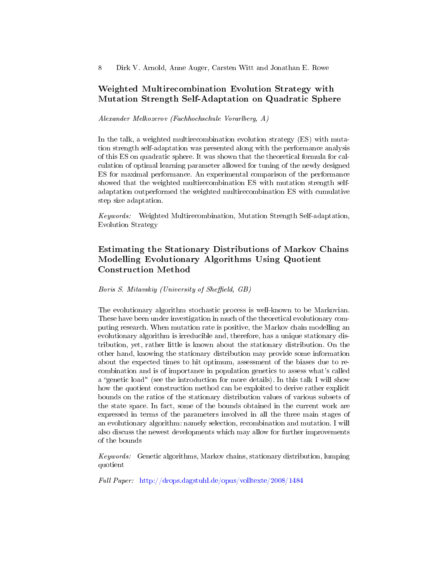### Weighted Multirecombination Evolution Strategy with Mutation Strength Self-Adaptation on Quadratic Sphere

Alexander Melkozerov (Fachhochschule Vorarlberg, A)

In the talk, a weighted multirecombination evolution strategy (ES) with mutation strength self-adaptation was presented along with the performance analysis of this ES on quadratic sphere. It was shown that the theoretical formula for calculation of optimal learning parameter allowed for tuning of the newly designed ES for maximal performance. An experimental comparison of the performance showed that the weighted multirecombination ES with mutation strength selfadaptation outperformed the weighted multirecombination ES with cumulative step size adaptation.

Keywords: Weighted Multirecombination, Mutation Strength Self-adaptation, Evolution Strategy

## Estimating the Stationary Distributions of Markov Chains Modelling Evolutionary Algorithms Using Quotient Construction Method

Boris S. Mitavskiy (University of Sheffield, GB)

The evolutionary algorithm stochastic process is well-known to be Markovian. These have been under investigation in much of the theoretical evolutionary computing research. When mutation rate is positive, the Markov chain modelling an evolutionary algorithm is irreducible and, therefore, has a unique stationary distribution, yet, rather little is known about the stationary distribution. On the other hand, knowing the stationary distribution may provide some information about the expected times to hit optimum, assessment of the biases due to recombination and is of importance in population genetics to assess what's called a "genetic load" (see the introduction for more details). In this talk I will show how the quotient construction method can be exploited to derive rather explicit bounds on the ratios of the stationary distribution values of various subsets of the state space. In fact, some of the bounds obtained in the current work are expressed in terms of the parameters involved in all the three main stages of an evolutionary algorithm: namely selection, recombination and mutation. I will also discuss the newest developments which may allow for further improvements of the bounds

Keywords: Genetic algorithms, Markov chains, stationary distribution, lumping quotient

Full Paper: <http://drops.dagstuhl.de/opus/volltexte/2008/1484>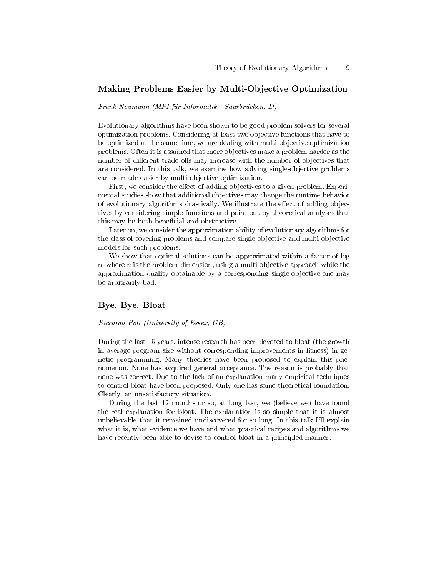### Making Problems Easier by Multi-Objective Optimization

Frank Neumann (MPI für Informatik - Saarbrücken, D)

Evolutionary algorithms have been shown to be good problem solvers for several optimization problems. Considering at least two objective functions that have to be optimized at the same time, we are dealing with multi-objective optimization problems. Often it is assumed that more objectives make a problem harder as the number of different trade-offs may increase with the number of objectives that are considered. In this talk, we examine how solving single-objective problems can be made easier by multi-objective optimization.

First, we consider the effect of adding objectives to a given problem. Experimental studies show that additional objectives may change the runtime behavior of evolutionary algorithms drastically. We illustrate the effect of adding objectives by considering simple functions and point out by theoretical analyses that this may be both beneficial and obstructive.

Later on, we consider the approximation ability of evolutionary algorithms for the class of covering problems and compare single-objective and multi-objective models for such problems.

We show that optimal solutions can be approximated within a factor of log n, where  $n$  is the problem dimension, using a multi-objective approach while the approximation quality obtainable by a corresponding single-objective one may be arbitrarily bad.

#### Bye, Bye, Bloat

#### Riccardo Poli (University of Essex, GB)

During the last 15 years, intense research has been devoted to bloat (the growth in average program size without corresponding improvements in fitness) in genetic programming. Many theories have been proposed to explain this phenomenon. None has acquired general acceptance. The reason is probably that none was correct. Due to the lack of an explanation many empirical techniques to control bloat have been proposed. Only one has some theoretical foundation. Clearly, an unsatisfactory situation.

During the last 12 months or so, at long last, we (believe we) have found the real explanation for bloat. The explanation is so simple that it is almost unbelievable that it remained undiscovered for so long. In this talk I'll explain what it is, what evidence we have and what practical recipes and algorithms we have recently been able to devise to control bloat in a principled manner.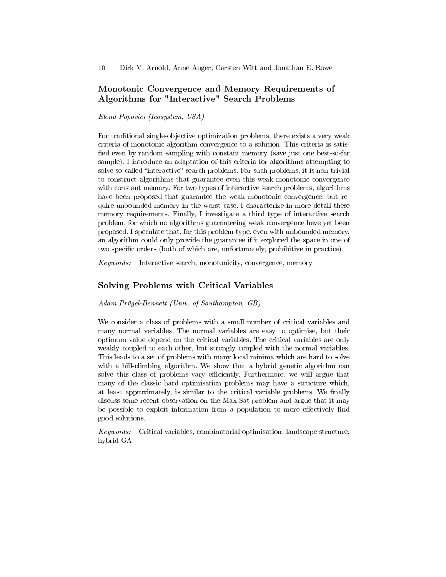## Monotonic Convergence and Memory Requirements of Algorithms for "Interactive" Search Problems

#### Elena Popovici (Icosystem, USA)

For traditional single-objective optimization problems, there exists a very weak criteria of monotonic algorithm convergence to a solution. This criteria is satis fied even by random sampling with constant memory (save just one best-so-far sample). I introduce an adaptation of this criteria for algorithms attempting to solve so-called "interactive" search problems. For such problems, it is non-trivial to construct algorithms that guarantee even this weak monotonic convergence with constant memory. For two types of interactive search problems, algorithms have been proposed that guarantee the weak monotonic convergence, but require unbounded memory in the worst case. I characterize in more detail these memory requirements. Finally, I investigate a third type of interactive search problem, for which no algorithms guaranteeing weak convergence have yet been proposed. I speculate that, for this problem type, even with unbounded memory, an algorithm could only provide the guarantee if it explored the space in one of two specific orders (both of which are, unfortunately, prohibitive in practice).

Keywords: Interactive search, monotonicity, convergence, memory

### Solving Problems with Critical Variables

Adam Prügel-Bennett (Univ. of Southampton, GB)

We consider a class of problems with a small number of critical variables and many normal variables. The normal variables are easy to optimise, but their optimum value depend on the critical variables. The critical variables are only weakly coupled to each other, but strongly coupled with the normal variables. This leads to a set of problems with many local minima which are hard to solve with a hill-climbing algorithm. We show that a hybrid genetic algorithm can solve this class of problems vary efficiently. Furthermore, we will argue that many of the classic hard optimisation problems may have a structure which, at least approximately, is similar to the critical variable problems. We finally discuss some recent observation on the Max-Sat problem and argue that it may be possible to exploit information from a population to more effectively find good solutions.

Keywords: Critical variables, combinatorial optimisation, landscape structure, hybrid GA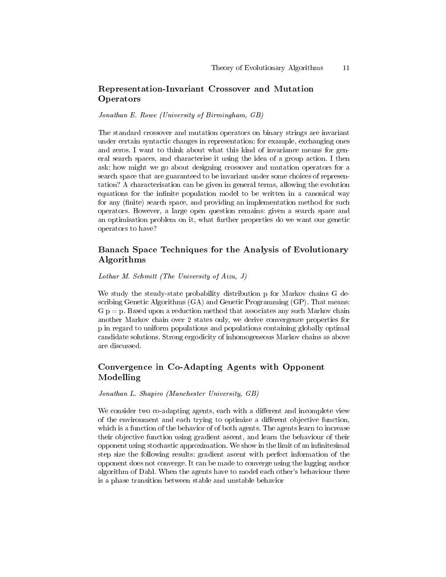## Representation-Invariant Crossover and Mutation **Operators**

Jonathan E. Rowe (University of Birmingham, GB)

The standard crossover and mutation operators on binary strings are invariant under certain syntactic changes in representation: for example, exchanging ones and zeros. I want to think about what this kind of invariance means for general search spaces, and characterise it using the idea of a group action. I then ask: how might we go about designing crossover and mutation operators for a search space that are guaranteed to be invariant under some choices of representation? A characterisation can be given in general terms, allowing the evolution equations for the infinite population model to be written in a canonical way for any (finite) search space, and providing an implementation method for such operators. However, a large open question remains: given a search space and an optimisation problem on it, what further properties do we want our genetic operators to have?

## Banach Space Techniques for the Analysis of Evolutionary Algorithms

Lothar M. Schmitt (The University of Aizu, J)

We study the steady-state probability distribution p for Markov chains G describing Genetic Algorithms (GA) and Genetic Programming (GP). That means:  $G$  p = p. Based upon a reduction method that associates any such Markov chain another Markov chain over 2 states only, we derive convergence properties for p in regard to uniform populations and populations containing globally optimal candidate solutions. Strong ergodicity of inhomogeneous Markov chains as above are discussed.

## Convergence in Co-Adapting Agents with Opponent Modelling

Jonathan L. Shapiro (Manchester University, GB)

We consider two co-adapting agents, each with a different and incomplete view of the environment and each trying to optimize a different objective function, which is a function of the behavior of of both agents. The agents learn to increase their objective function using gradient ascent, and learn the behaviour of their opponent using stochastic approximation. We show in the limit of an infinitesimal step size the following results: gradient ascent with perfect information of the opponent does not converge. It can be made to converge using the lagging anchor algorithm of Dahl. When the agents have to model each other's behaviour there is a phase transition between stable and unstable behavior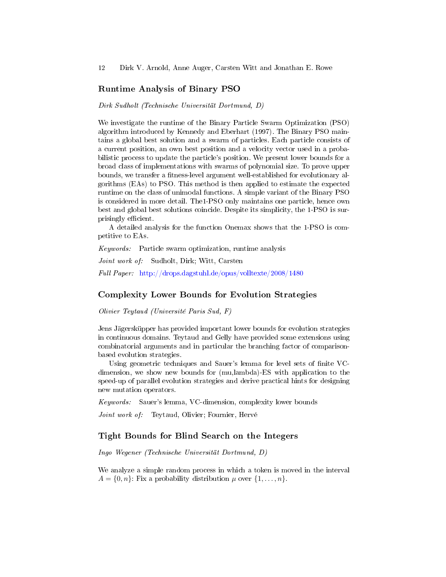#### Runtime Analysis of Binary PSO

Dirk Sudholt (Technische Universität Dortmund, D)

We investigate the runtime of the Binary Particle Swarm Optimization (PSO) algorithm introduced by Kennedy and Eberhart (1997). The Binary PSO maintains a global best solution and a swarm of particles. Each particle consists of a current position, an own best position and a velocity vector used in a probabilistic process to update the particle's position. We present lower bounds for a broad class of implementations with swarms of polynomial size. To prove upper bounds, we transfer a fitness-level argument well-established for evolutionary algorithms (EAs) to PSO. This method is then applied to estimate the expected runtime on the class of unimodal functions. A simple variant of the Binary PSO is considered in more detail. The1-PSO only maintains one particle, hence own best and global best solutions coincide. Despite its simplicity, the 1-PSO is surprisingly efficient.

A detailed analysis for the function Onemax shows that the 1-PSO is competitive to EAs.

Keywords: Particle swarm optimization, runtime analysis

Joint work of: Sudholt, Dirk; Witt, Carsten

Full Paper: <http://drops.dagstuhl.de/opus/volltexte/2008/1480>

#### Complexity Lower Bounds for Evolution Strategies

Olivier Teytaud (Université Paris Sud, F)

Jens Jägersküpper has provided important lower bounds for evolution strategies in continuous domains. Teytaud and Gelly have provided some extensions using combinatorial arguments and in particular the branching factor of comparisonbased evolution strategies.

Using geometric techniques and Sauer's lemma for level sets of finite VCdimension, we show new bounds for (mu,lambda)-ES with application to the speed-up of parallel evolution strategies and derive practical hints for designing new mutation operators.

Keywords: Sauer's lemma, VC-dimension, complexity lower bounds

Joint work of: Teytaud, Olivier; Fournier, Hervé

#### Tight Bounds for Blind Search on the Integers

Ingo Wegener (Technische Universität Dortmund, D)

We analyze a simple random process in which a token is moved in the interval  $A = \{0, n\}$ : Fix a probability distribution  $\mu$  over  $\{1, \ldots, n\}$ .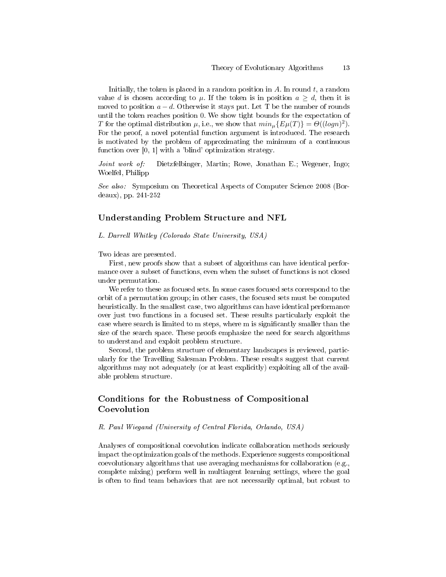Initially, the token is placed in a random position in  $A$ . In round  $t$ , a random value d is chosen according to  $\mu$ . If the token is in position  $a \geq d$ , then it is moved to position  $a - d$ . Otherwise it stays put. Let T be the number of rounds until the token reaches position 0. We show tight bounds for the expectation of T for the optimal distribution  $\mu$ , i.e., we show that  $min_{\mu} \{ E\mu(T) \} = \Theta((logn)^2)$ . For the proof, a novel potential function argument is introduced. The research is motivated by the problem of approximating the minimum of a continuous function over [0, 1] with a 'blind' optimization strategy.

Joint work of: Dietzfelbinger, Martin; Rowe, Jonathan E.; Wegener, Ingo; Woelfel, Philipp

See also: Symposium on Theoretical Aspects of Computer Science 2008 (Bordeaux), pp. 241-252

#### Understanding Problem Structure and NFL

L. Darrell Whitley (Colorado State University, USA)

Two ideas are presented.

First, new proofs show that a subset of algorithms can have identical performance over a subset of functions, even when the subset of functions is not closed under permutation.

We refer to these as focused sets. In some cases focused sets correspond to the orbit of a permutation group; in other cases, the focused sets must be computed heuristically. In the smallest case, two algorithms can have identical performance over just two functions in a focused set. These results particularly exploit the case where search is limited to m steps, where m is signicantly smaller than the size of the search space. These proofs emphasize the need for search algorithms to understand and exploit problem structure.

Second, the problem structure of elementary landscapes is reviewed, particularly for the Travelling Salesman Problem. These results suggest that current algorithms may not adequately (or at least explicitly) exploiting all of the available problem structure.

## Conditions for the Robustness of Compositional Coevolution

R. Paul Wiegand (University of Central Florida, Orlando, USA)

Analyses of compositional coevolution indicate collaboration methods seriously impact the optimization goals of the methods. Experience suggests compositional coevolutionary algorithms that use averaging mechanisms for collaboration (e.g., complete mixing) perform well in multiagent learning settings, where the goal is often to find team behaviors that are not necessarily optimal, but robust to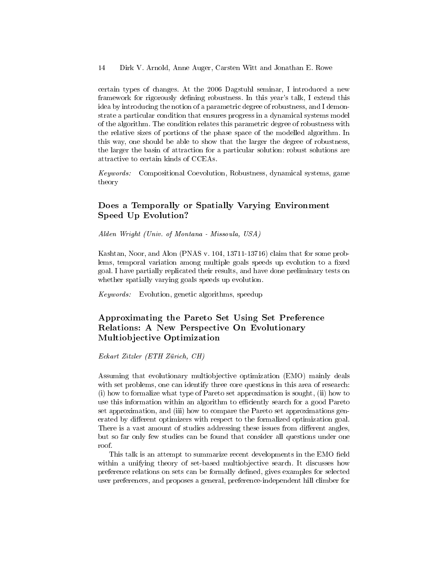certain types of changes. At the 2006 Dagstuhl seminar, I introduced a new framework for rigorously defining robustness. In this year's talk, I extend this idea by introducing the notion of a parametric degree of robustness, and I demonstrate a particular condition that ensures progress in a dynamical systems model of the algorithm. The condition relates this parametric degree of robustness with the relative sizes of portions of the phase space of the modelled algorithm. In this way, one should be able to show that the larger the degree of robustness, the larger the basin of attraction for a particular solution: robust solutions are attractive to certain kinds of CCEAs.

Keywords: Compositional Coevolution, Robustness, dynamical systems, game theory

## Does a Temporally or Spatially Varying Environment Speed Up Evolution?

Alden Wright (Univ. of Montana - Missoula, USA)

Kashtan, Noor, and Alon (PNAS v. 104, 13711-13716) claim that for some problems, temporal variation among multiple goals speeds up evolution to a fixed goal. I have partially replicated their results, and have done preliminary tests on whether spatially varying goals speeds up evolution.

Keywords: Evolution, genetic algorithms, speedup

## Approximating the Pareto Set Using Set Preference Relations: A New Perspective On Evolutionary Multiobjective Optimization

Eckart Zitzler (ETH Zürich, CH)

Assuming that evolutionary multiobjective optimization (EMO) mainly deals with set problems, one can identify three core questions in this area of research: (i) how to formalize what type of Pareto set approximation is sought, (ii) how to use this information within an algorithm to efficiently search for a good Pareto set approximation, and (iii) how to compare the Pareto set approximations generated by different optimizers with respect to the formalized optimization goal. There is a vast amount of studies addressing these issues from different angles, but so far only few studies can be found that consider all questions under one roof.

This talk is an attempt to summarize recent developments in the EMO field within a unifying theory of set-based multiobjective search. It discusses how preference relations on sets can be formally defined, gives examples for selected user preferences, and proposes a general, preference-independent hill climber for